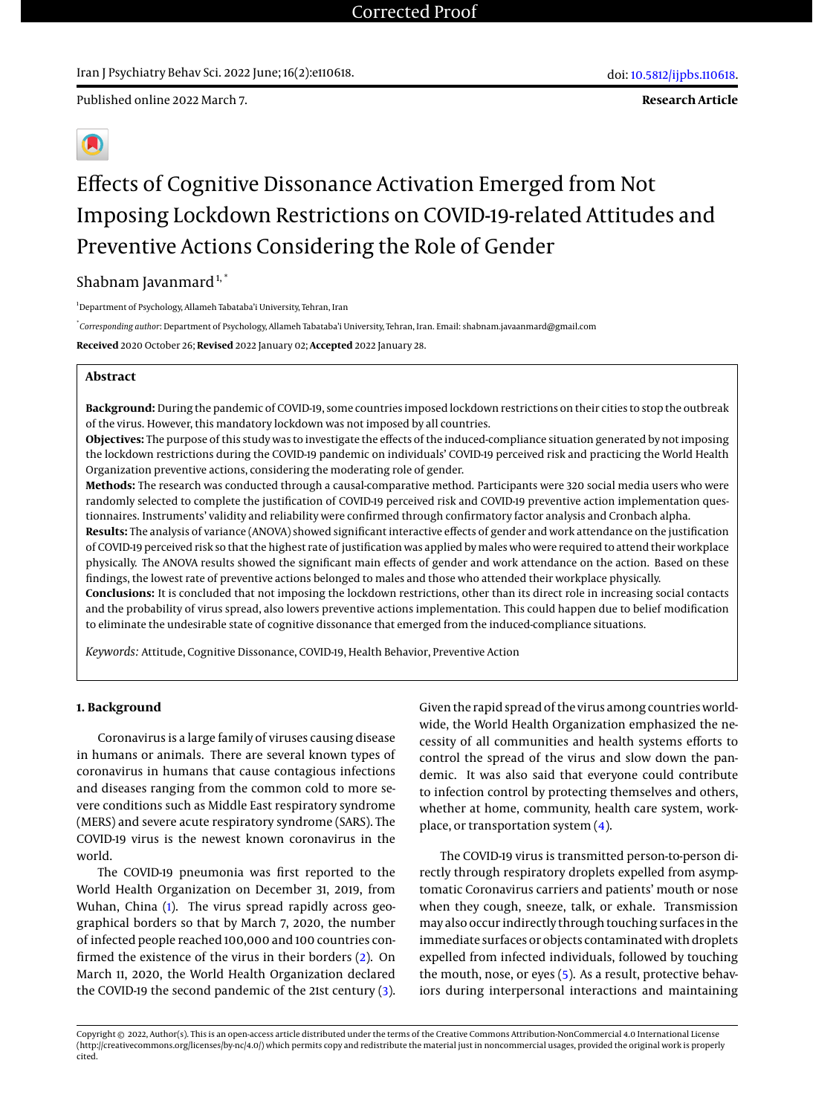Published online 2022 March 7.



# Effects of Cognitive Dissonance Activation Emerged from Not Imposing Lockdown Restrictions on COVID-19-related Attitudes and Preventive Actions Considering the Role of Gender

### Shabnam Javanmard $1,$ \*

<sup>1</sup>Department of Psychology, Allameh Tabataba'i University, Tehran, Iran

\* *Corresponding author*: Department of Psychology, Allameh Tabataba'i University, Tehran, Iran. Email: shabnam.javaanmard@gmail.com **Received** 2020 October 26; **Revised** 2022 January 02; **Accepted** 2022 January 28.

### **Abstract**

**Background:** During the pandemic of COVID-19, some countries imposed lockdown restrictions on their cities to stop the outbreak of the virus. However, this mandatory lockdown was not imposed by all countries.

**Objectives:** The purpose of this study was to investigate the effects of the induced-compliance situation generated by not imposing the lockdown restrictions during the COVID-19 pandemic on individuals' COVID-19 perceived risk and practicing the World Health Organization preventive actions, considering the moderating role of gender.

**Methods:** The research was conducted through a causal-comparative method. Participants were 320 social media users who were randomly selected to complete the justification of COVID-19 perceived risk and COVID-19 preventive action implementation questionnaires. Instruments' validity and reliability were confirmed through confirmatory factor analysis and Cronbach alpha.

**Results:** The analysis of variance (ANOVA) showed significant interactive effects of gender and work attendance on the justification of COVID-19 perceived risk so that the highest rate of justification was applied by males who were required to attend their workplace physically. The ANOVA results showed the significant main effects of gender and work attendance on the action. Based on these findings, the lowest rate of preventive actions belonged to males and those who attended their workplace physically.

**Conclusions:** It is concluded that not imposing the lockdown restrictions, other than its direct role in increasing social contacts and the probability of virus spread, also lowers preventive actions implementation. This could happen due to belief modification to eliminate the undesirable state of cognitive dissonance that emerged from the induced-compliance situations.

*Keywords:* Attitude, Cognitive Dissonance, COVID-19, Health Behavior, Preventive Action

### **1. Background**

Coronavirus is a large family of viruses causing disease in humans or animals. There are several known types of coronavirus in humans that cause contagious infections and diseases ranging from the common cold to more severe conditions such as Middle East respiratory syndrome (MERS) and severe acute respiratory syndrome (SARS). The COVID-19 virus is the newest known coronavirus in the world.

The COVID-19 pneumonia was first reported to the World Health Organization on December 31, 2019, from Wuhan, China [\(1\)](#page-10-0). The virus spread rapidly across geographical borders so that by March 7, 2020, the number of infected people reached 100,000 and 100 countries confirmed the existence of the virus in their borders [\(2\)](#page-10-1). On March 11, 2020, the World Health Organization declared the COVID-19 the second pandemic of the 21st century [\(3\)](#page-10-2).

Given the rapid spread of the virus among countries worldwide, the World Health Organization emphasized the necessity of all communities and health systems efforts to control the spread of the virus and slow down the pandemic. It was also said that everyone could contribute to infection control by protecting themselves and others, whether at home, community, health care system, workplace, or transportation system [\(4\)](#page-10-3).

The COVID-19 virus is transmitted person-to-person directly through respiratory droplets expelled from asymptomatic Coronavirus carriers and patients' mouth or nose when they cough, sneeze, talk, or exhale. Transmission may also occur indirectly through touching surfaces in the immediate surfaces or objects contaminated with droplets expelled from infected individuals, followed by touching the mouth, nose, or eyes [\(5\)](#page-10-4). As a result, protective behaviors during interpersonal interactions and maintaining

Copyright © 2022, Author(s). This is an open-access article distributed under the terms of the Creative Commons Attribution-NonCommercial 4.0 International License (http://creativecommons.org/licenses/by-nc/4.0/) which permits copy and redistribute the material just in noncommercial usages, provided the original work is properly cited.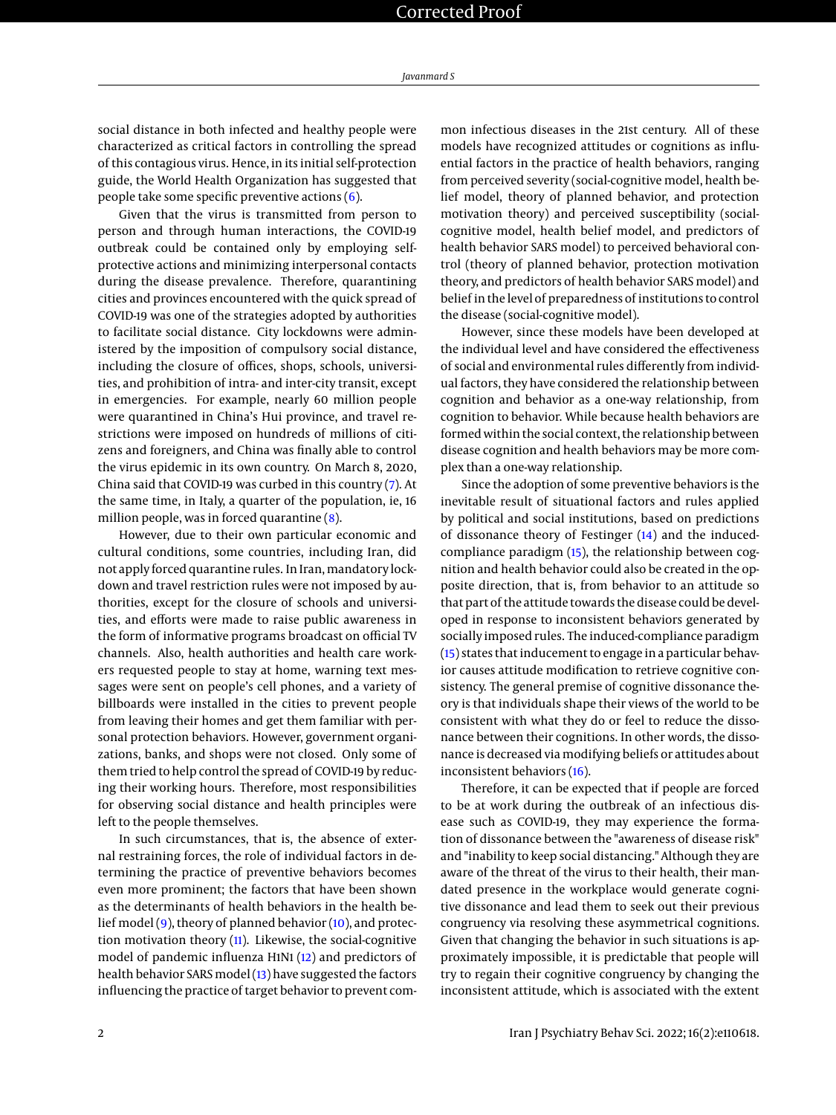social distance in both infected and healthy people were characterized as critical factors in controlling the spread of this contagious virus. Hence, in its initial self-protection guide, the World Health Organization has suggested that people take some specific preventive actions [\(6\)](#page-10-5).

Given that the virus is transmitted from person to person and through human interactions, the COVID-19 outbreak could be contained only by employing selfprotective actions and minimizing interpersonal contacts during the disease prevalence. Therefore, quarantining cities and provinces encountered with the quick spread of COVID-19 was one of the strategies adopted by authorities to facilitate social distance. City lockdowns were administered by the imposition of compulsory social distance, including the closure of offices, shops, schools, universities, and prohibition of intra- and inter-city transit, except in emergencies. For example, nearly 60 million people were quarantined in China's Hui province, and travel restrictions were imposed on hundreds of millions of citizens and foreigners, and China was finally able to control the virus epidemic in its own country. On March 8, 2020, China said that COVID-19 was curbed in this country [\(7\)](#page-10-6). At the same time, in Italy, a quarter of the population, ie, 16 million people, was in forced quarantine [\(8\)](#page-10-7).

However, due to their own particular economic and cultural conditions, some countries, including Iran, did not apply forced quarantine rules. In Iran, mandatory lockdown and travel restriction rules were not imposed by authorities, except for the closure of schools and universities, and efforts were made to raise public awareness in the form of informative programs broadcast on official TV channels. Also, health authorities and health care workers requested people to stay at home, warning text messages were sent on people's cell phones, and a variety of billboards were installed in the cities to prevent people from leaving their homes and get them familiar with personal protection behaviors. However, government organizations, banks, and shops were not closed. Only some of them tried to help control the spread of COVID-19 by reducing their working hours. Therefore, most responsibilities for observing social distance and health principles were left to the people themselves.

In such circumstances, that is, the absence of external restraining forces, the role of individual factors in determining the practice of preventive behaviors becomes even more prominent; the factors that have been shown as the determinants of health behaviors in the health belief model  $(9)$ , theory of planned behavior  $(10)$ , and protection motivation theory  $(11)$ . Likewise, the social-cognitive model of pandemic influenza H1N1 [\(12\)](#page-10-11) and predictors of health behavior SARS model [\(13\)](#page-10-12) have suggested the factors influencing the practice of target behavior to prevent common infectious diseases in the 21st century. All of these models have recognized attitudes or cognitions as influential factors in the practice of health behaviors, ranging from perceived severity (social-cognitive model, health belief model, theory of planned behavior, and protection motivation theory) and perceived susceptibility (socialcognitive model, health belief model, and predictors of health behavior SARS model) to perceived behavioral control (theory of planned behavior, protection motivation theory, and predictors of health behavior SARS model) and belief in the level of preparedness of institutions to control the disease (social-cognitive model).

However, since these models have been developed at the individual level and have considered the effectiveness of social and environmental rules differently from individual factors, they have considered the relationship between cognition and behavior as a one-way relationship, from cognition to behavior. While because health behaviors are formed within the social context, the relationship between disease cognition and health behaviors may be more complex than a one-way relationship.

Since the adoption of some preventive behaviors is the inevitable result of situational factors and rules applied by political and social institutions, based on predictions of dissonance theory of Festinger [\(14\)](#page-10-13) and the inducedcompliance paradigm [\(15\)](#page-10-14), the relationship between cognition and health behavior could also be created in the opposite direction, that is, from behavior to an attitude so that part of the attitude towards the disease could be developed in response to inconsistent behaviors generated by socially imposed rules. The induced-compliance paradigm [\(15\)](#page-10-14) states that inducement to engage in a particular behavior causes attitude modification to retrieve cognitive consistency. The general premise of cognitive dissonance theory is that individuals shape their views of the world to be consistent with what they do or feel to reduce the dissonance between their cognitions. In other words, the dissonance is decreased via modifying beliefs or attitudes about inconsistent behaviors [\(16\)](#page-10-15).

Therefore, it can be expected that if people are forced to be at work during the outbreak of an infectious disease such as COVID-19, they may experience the formation of dissonance between the "awareness of disease risk" and "inability to keep social distancing." Although they are aware of the threat of the virus to their health, their mandated presence in the workplace would generate cognitive dissonance and lead them to seek out their previous congruency via resolving these asymmetrical cognitions. Given that changing the behavior in such situations is approximately impossible, it is predictable that people will try to regain their cognitive congruency by changing the inconsistent attitude, which is associated with the extent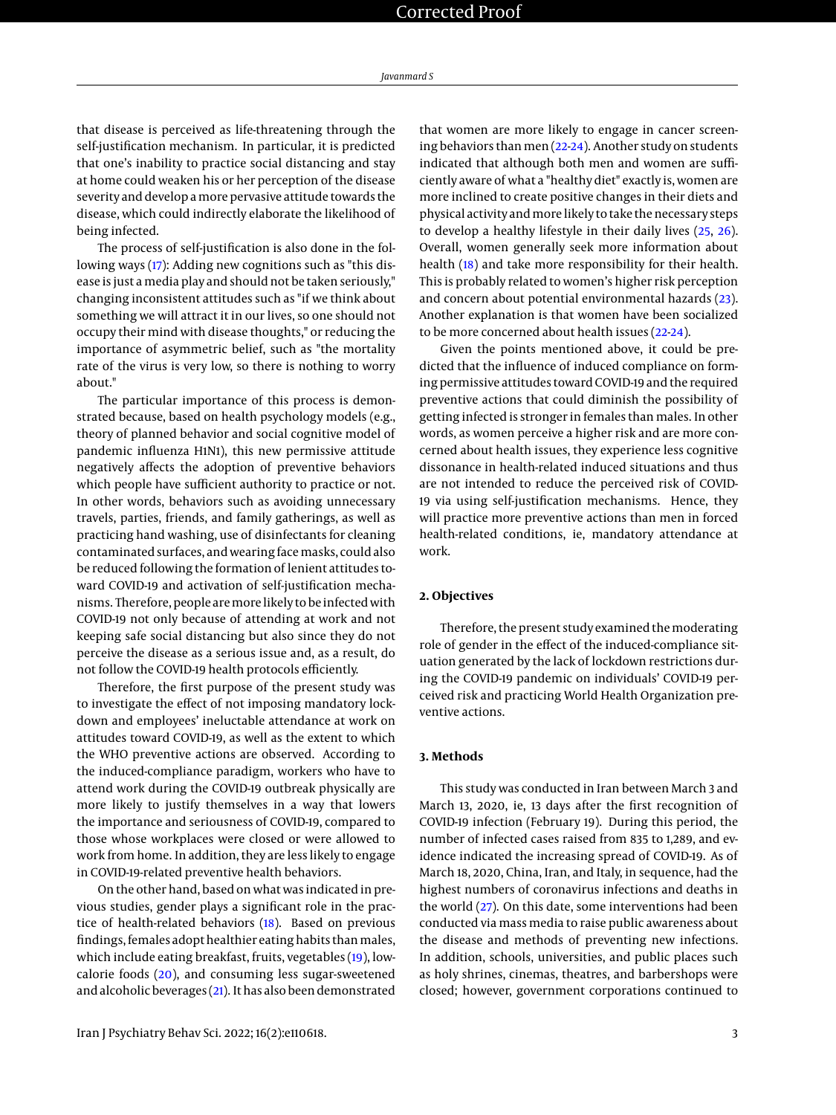*Javanmard S*

that disease is perceived as life-threatening through the self-justification mechanism. In particular, it is predicted that one's inability to practice social distancing and stay at home could weaken his or her perception of the disease severity and develop a more pervasive attitude towards the disease, which could indirectly elaborate the likelihood of being infected.

The process of self-justification is also done in the following ways [\(17\)](#page-10-16): Adding new cognitions such as "this disease is just a media play and should not be taken seriously," changing inconsistent attitudes such as "if we think about something we will attract it in our lives, so one should not occupy their mind with disease thoughts," or reducing the importance of asymmetric belief, such as "the mortality rate of the virus is very low, so there is nothing to worry about."

The particular importance of this process is demonstrated because, based on health psychology models (e.g., theory of planned behavior and social cognitive model of pandemic influenza H1N1), this new permissive attitude negatively affects the adoption of preventive behaviors which people have sufficient authority to practice or not. In other words, behaviors such as avoiding unnecessary travels, parties, friends, and family gatherings, as well as practicing hand washing, use of disinfectants for cleaning contaminated surfaces, and wearing face masks, could also be reduced following the formation of lenient attitudes toward COVID-19 and activation of self-justification mechanisms. Therefore, people are more likely to be infected with COVID-19 not only because of attending at work and not keeping safe social distancing but also since they do not perceive the disease as a serious issue and, as a result, do not follow the COVID-19 health protocols efficiently.

Therefore, the first purpose of the present study was to investigate the effect of not imposing mandatory lockdown and employees' ineluctable attendance at work on attitudes toward COVID-19, as well as the extent to which the WHO preventive actions are observed. According to the induced-compliance paradigm, workers who have to attend work during the COVID-19 outbreak physically are more likely to justify themselves in a way that lowers the importance and seriousness of COVID-19, compared to those whose workplaces were closed or were allowed to work from home. In addition, they are less likely to engage in COVID-19-related preventive health behaviors.

On the other hand, based on what was indicated in previous studies, gender plays a significant role in the practice of health-related behaviors [\(18\)](#page-10-17). Based on previous findings, females adopt healthier eating habits than males, which include eating breakfast, fruits, vegetables [\(19\)](#page-10-18), lowcalorie foods [\(20\)](#page-10-19), and consuming less sugar-sweetened and alcoholic beverages [\(21\)](#page-10-20). It has also been demonstrated

that women are more likely to engage in cancer screening behaviors than men [\(22-](#page-10-21)[24\)](#page-10-22). Another study on students indicated that although both men and women are sufficiently aware of what a "healthy diet" exactly is, women are more inclined to create positive changes in their diets and physical activity and more likely to take the necessary steps to develop a healthy lifestyle in their daily lives [\(25,](#page-10-23) [26\)](#page-10-24). Overall, women generally seek more information about health [\(18\)](#page-10-17) and take more responsibility for their health. This is probably related to women's higher risk perception and concern about potential environmental hazards [\(23\)](#page-10-25). Another explanation is that women have been socialized to be more concerned about health issues [\(22-](#page-10-21)[24\)](#page-10-22).

Given the points mentioned above, it could be predicted that the influence of induced compliance on forming permissive attitudes toward COVID-19 and the required preventive actions that could diminish the possibility of getting infected is stronger in females than males. In other words, as women perceive a higher risk and are more concerned about health issues, they experience less cognitive dissonance in health-related induced situations and thus are not intended to reduce the perceived risk of COVID-19 via using self-justification mechanisms. Hence, they will practice more preventive actions than men in forced health-related conditions, ie, mandatory attendance at work.

### **2. Objectives**

Therefore, the present study examined the moderating role of gender in the effect of the induced-compliance situation generated by the lack of lockdown restrictions during the COVID-19 pandemic on individuals' COVID-19 perceived risk and practicing World Health Organization preventive actions.

#### **3. Methods**

This study was conducted in Iran between March 3 and March 13, 2020, ie, 13 days after the first recognition of COVID-19 infection (February 19). During this period, the number of infected cases raised from 835 to 1,289, and evidence indicated the increasing spread of COVID-19. As of March 18, 2020, China, Iran, and Italy, in sequence, had the highest numbers of coronavirus infections and deaths in the world [\(27\)](#page-11-0). On this date, some interventions had been conducted via mass media to raise public awareness about the disease and methods of preventing new infections. In addition, schools, universities, and public places such as holy shrines, cinemas, theatres, and barbershops were closed; however, government corporations continued to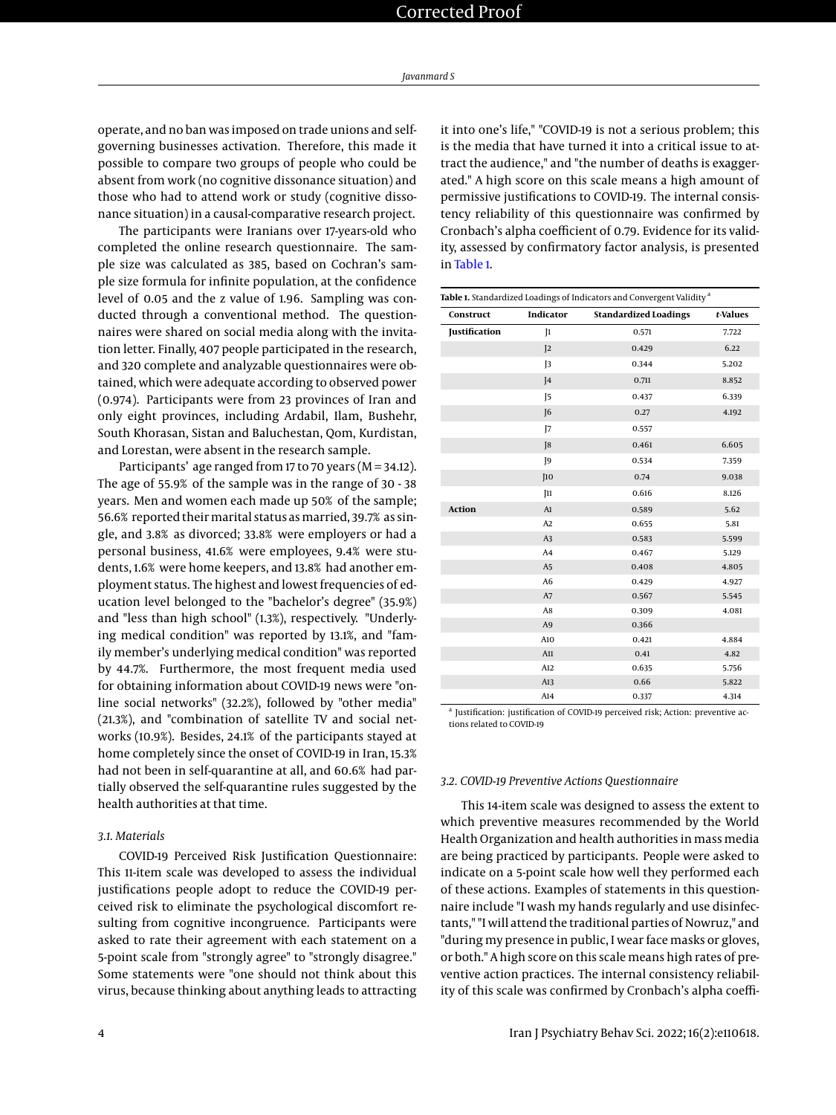operate, and no ban was imposed on trade unions and selfgoverning businesses activation. Therefore, this made it possible to compare two groups of people who could be absent from work (no cognitive dissonance situation) and those who had to attend work or study (cognitive dissonance situation) in a causal-comparative research project.

The participants were Iranians over 17-years-old who completed the online research questionnaire. The sample size was calculated as 385, based on Cochran's sample size formula for infinite population, at the confidence level of 0.05 and the z value of 1.96. Sampling was conducted through a conventional method. The questionnaires were shared on social media along with the invitation letter. Finally, 407 people participated in the research, and 320 complete and analyzable questionnaires were obtained, which were adequate according to observed power (0.974). Participants were from 23 provinces of Iran and only eight provinces, including Ardabil, Ilam, Bushehr, South Khorasan, Sistan and Baluchestan, Qom, Kurdistan, and Lorestan, were absent in the research sample.

Participants' age ranged from 17 to 70 years (M = 34.12). The age of 55.9% of the sample was in the range of 30 - 38 years. Men and women each made up 50% of the sample; 56.6% reported their marital status as married, 39.7% as single, and 3.8% as divorced; 33.8% were employers or had a personal business, 41.6% were employees, 9.4% were students, 1.6% were home keepers, and 13.8% had another employment status. The highest and lowest frequencies of education level belonged to the "bachelor's degree" (35.9%) and "less than high school" (1.3%), respectively. "Underlying medical condition" was reported by 13.1%, and "family member's underlying medical condition" was reported by 44.7%. Furthermore, the most frequent media used for obtaining information about COVID-19 news were "online social networks" (32.2%), followed by "other media" (21.3%), and "combination of satellite TV and social networks (10.9%). Besides, 24.1% of the participants stayed at home completely since the onset of COVID-19 in Iran, 15.3% had not been in self-quarantine at all, and 60.6% had partially observed the self-quarantine rules suggested by the health authorities at that time.

### *3.1. Materials*

COVID-19 Perceived Risk Justification Questionnaire: This 11-item scale was developed to assess the individual justifications people adopt to reduce the COVID-19 perceived risk to eliminate the psychological discomfort resulting from cognitive incongruence. Participants were asked to rate their agreement with each statement on a 5-point scale from "strongly agree" to "strongly disagree." Some statements were "one should not think about this virus, because thinking about anything leads to attracting

it into one's life," "COVID-19 is not a serious problem; this is the media that have turned it into a critical issue to attract the audience," and "the number of deaths is exaggerated." A high score on this scale means a high amount of permissive justifications to COVID-19. The internal consistency reliability of this questionnaire was confirmed by Cronbach's alpha coefficient of 0.79. Evidence for its validity, assessed by confirmatory factor analysis, is presented in [Table 1.](#page-3-0)

<span id="page-3-0"></span>

|                      |                | Table 1. Standardized Loadings of Indicators and Convergent Validity <sup>a</sup> |          |
|----------------------|----------------|-----------------------------------------------------------------------------------|----------|
| Construct            | Indicator      | <b>Standardized Loadings</b>                                                      | t-Values |
| <b>Justification</b> | $\mathbb{I}$   | 0.571                                                                             | 7.722    |
|                      | $\mathsf{I}2$  | 0.429                                                                             | 6.22     |
|                      | $\overline{3}$ | 0.344                                                                             | 5.202    |
|                      | 4              | 0.711                                                                             | 8.852    |
|                      | $\overline{5}$ | 0.437                                                                             | 6.339    |
|                      | 6              | 0.27                                                                              | 4.192    |
|                      | J7             | 0.557                                                                             |          |
|                      | J8             | 0.461                                                                             | 6.605    |
|                      | J9             | 0.534                                                                             | 7.359    |
|                      | [10]           | 0.74                                                                              | 9.038    |
|                      | [11]           | 0.616                                                                             | 8.126    |
| <b>Action</b>        | A1             | 0.589                                                                             | 5.62     |
|                      | A2             | 0.655                                                                             | 5.81     |
|                      | A <sub>3</sub> | 0.583                                                                             | 5.599    |
|                      | A <sub>4</sub> | 0.467                                                                             | 5.129    |
|                      | A <sub>5</sub> | 0.408                                                                             | 4.805    |
|                      | A <sub>6</sub> | 0.429                                                                             | 4.927    |
|                      | A7             | 0.567                                                                             | 5.545    |
|                      | A8             | 0.309                                                                             | 4.081    |
|                      | A <sub>9</sub> | 0.366                                                                             |          |
|                      | A10            | 0.421                                                                             | 4.884    |
|                      | A11            | 0.41                                                                              | 4.82     |
|                      | A12            | 0.635                                                                             | 5.756    |
|                      | A13            | 0.66                                                                              | 5.822    |
|                      | A14            | 0.337                                                                             | 4.314    |

<sup>a</sup> Justification: justification of COVID-19 perceived risk; Action: preventive actions related to COVID-19

#### *3.2. COVID-19 Preventive Actions Questionnaire*

This 14-item scale was designed to assess the extent to which preventive measures recommended by the World Health Organization and health authorities in mass media are being practiced by participants. People were asked to indicate on a 5-point scale how well they performed each of these actions. Examples of statements in this questionnaire include "I wash my hands regularly and use disinfectants," "I will attend the traditional parties of Nowruz," and "during my presence in public, I wear face masks or gloves, or both." A high score on this scale means high rates of preventive action practices. The internal consistency reliability of this scale was confirmed by Cronbach's alpha coeffi-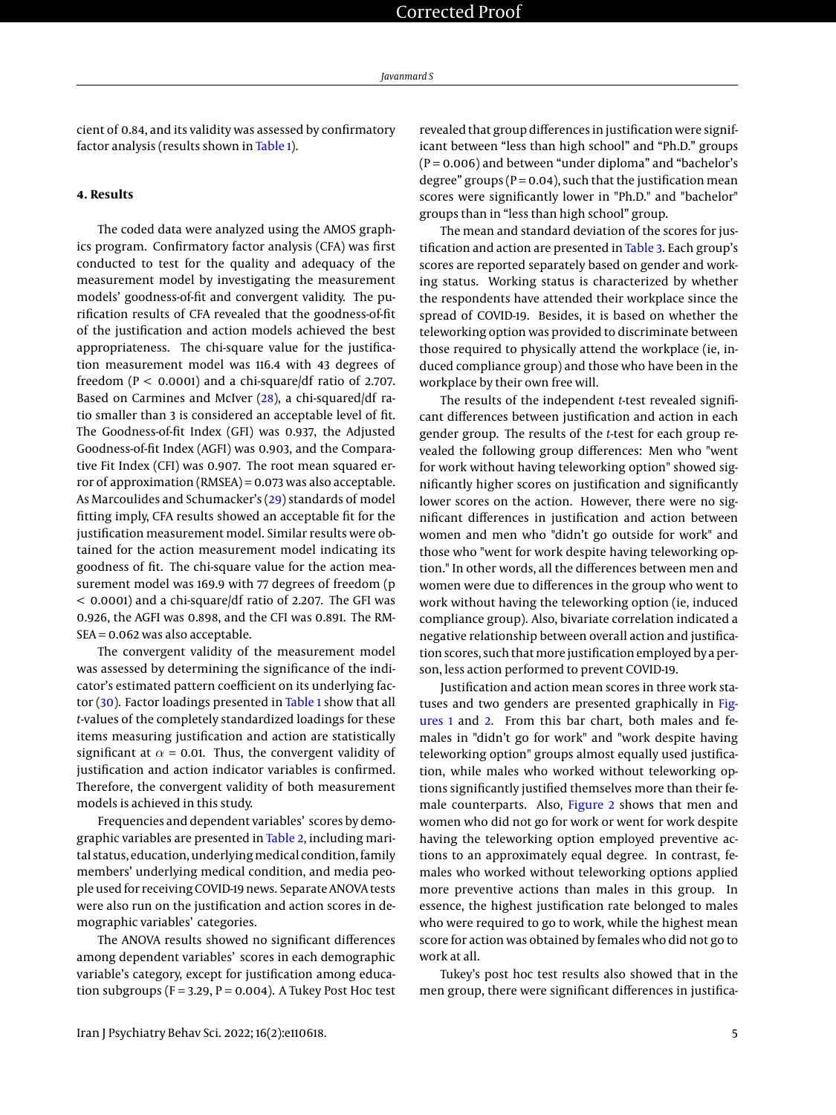cient of 0.84, and its validity was assessed by confirmatory factor analysis (results shown in [Table 1\)](#page-3-0).

### **4. Results**

The coded data were analyzed using the AMOS graphics program. Confirmatory factor analysis (CFA) was first conducted to test for the quality and adequacy of the measurement model by investigating the measurement models' goodness-of-fit and convergent validity. The purification results of CFA revealed that the goodness-of-fit of the justification and action models achieved the best appropriateness. The chi-square value for the justification measurement model was 116.4 with 43 degrees of freedom ( $P < 0.0001$ ) and a chi-square/df ratio of 2.707. Based on Carmines and McIver [\(28\)](#page-11-1), a chi-squared/df ratio smaller than 3 is considered an acceptable level of fit. The Goodness-of-fit Index (GFI) was 0.937, the Adjusted Goodness-of-fit Index (AGFI) was 0.903, and the Comparative Fit Index (CFI) was 0.907. The root mean squared error of approximation (RMSEA) = 0.073 was also acceptable. As Marcoulides and Schumacker's [\(29\)](#page-11-2) standards of model fitting imply, CFA results showed an acceptable fit for the justification measurement model. Similar results were obtained for the action measurement model indicating its goodness of fit. The chi-square value for the action measurement model was 169.9 with 77 degrees of freedom (p < 0.0001) and a chi-square/df ratio of 2.207. The GFI was 0.926, the AGFI was 0.898, and the CFI was 0.891. The RM-SEA = 0.062 was also acceptable.

The convergent validity of the measurement model was assessed by determining the significance of the indicator's estimated pattern coefficient on its underlying factor [\(30\)](#page-11-3). Factor loadings presented in [Table 1](#page-3-0) show that all *t*-values of the completely standardized loadings for these items measuring justification and action are statistically significant at  $\alpha$  = 0.01. Thus, the convergent validity of justification and action indicator variables is confirmed. Therefore, the convergent validity of both measurement models is achieved in this study.

Frequencies and dependent variables' scores by demographic variables are presented in [Table 2,](#page-5-0) including marital status, education, underlying medical condition, family members' underlying medical condition, and media people used for receiving COVID-19 news. Separate ANOVA tests were also run on the justification and action scores in demographic variables' categories.

The ANOVA results showed no significant differences among dependent variables' scores in each demographic variable's category, except for justification among education subgroups ( $F = 3.29$ ,  $P = 0.004$ ). A Tukey Post Hoc test

revealed that group differences in justification were significant between "less than high school" and "Ph.D." groups  $(P = 0.006)$  and between "under diploma" and "bachelor's degree" groups ( $P = 0.04$ ), such that the justification mean scores were significantly lower in "Ph.D." and "bachelor" groups than in "less than high school" group.

The mean and standard deviation of the scores for justification and action are presented in [Table 3.](#page-9-0) Each group's scores are reported separately based on gender and working status. Working status is characterized by whether the respondents have attended their workplace since the spread of COVID-19. Besides, it is based on whether the teleworking option was provided to discriminate between those required to physically attend the workplace (ie, induced compliance group) and those who have been in the workplace by their own free will.

The results of the independent *t-*test revealed significant differences between justification and action in each gender group. The results of the *t*-test for each group revealed the following group differences: Men who "went for work without having teleworking option" showed significantly higher scores on justification and significantly lower scores on the action. However, there were no significant differences in justification and action between women and men who "didn't go outside for work" and those who "went for work despite having teleworking option." In other words, all the differences between men and women were due to differences in the group who went to work without having the teleworking option (ie, induced compliance group). Also, bivariate correlation indicated a negative relationship between overall action and justification scores, such that more justification employed by a person, less action performed to prevent COVID-19.

Justification and action mean scores in three work statuses and two genders are presented graphically in [Fig](#page-6-0)[ures 1](#page-6-0) and [2.](#page-7-0) From this bar chart, both males and females in "didn't go for work" and "work despite having teleworking option" groups almost equally used justification, while males who worked without teleworking options significantly justified themselves more than their female counterparts. Also, [Figure 2](#page-7-0) shows that men and women who did not go for work or went for work despite having the teleworking option employed preventive actions to an approximately equal degree. In contrast, females who worked without teleworking options applied more preventive actions than males in this group. In essence, the highest justification rate belonged to males who were required to go to work, while the highest mean score for action was obtained by females who did not go to work at all.

Tukey's post hoc test results also showed that in the men group, there were significant differences in justifica-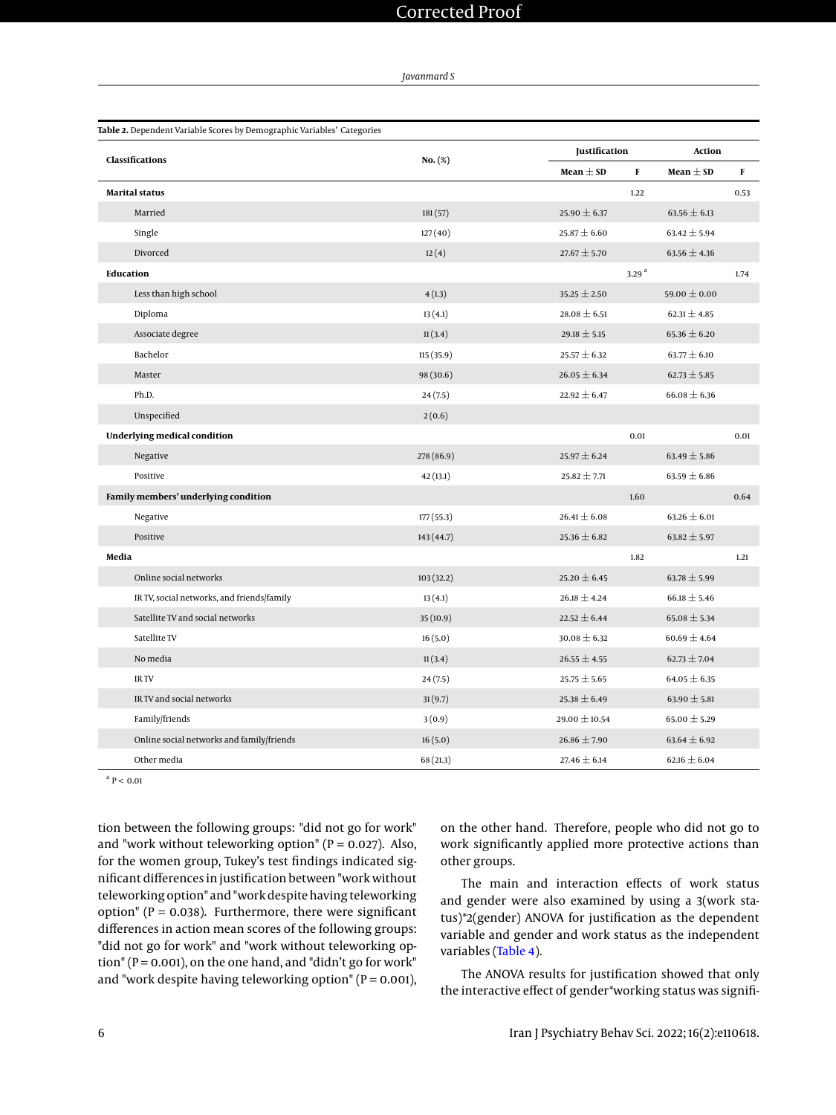*Javanmard S*

<span id="page-5-0"></span>

|                                            |            | <b>Justification</b> | <b>Action</b>      |      |
|--------------------------------------------|------------|----------------------|--------------------|------|
| <b>Classifications</b>                     | $No.$ (%)  | Mean $\pm$ SD        | Mean $\pm$ SD<br>F | F    |
| Marital status                             |            |                      | 1.22               | 0.53 |
| Married                                    | 181(57)    | 25.90 $\pm$ 6.37     | 63.56 $\pm$ 6.13   |      |
| Single                                     | 127(40)    | $25.87 \pm 6.60$     | $63.42 \pm 5.94$   |      |
| Divorced                                   | 12(4)      | $27.67 \pm 5.70$     | 63.56 $\pm$ 4.36   |      |
| <b>Education</b>                           |            | 3.29 <sup>a</sup>    |                    | 1.74 |
| Less than high school                      | 4(1.3)     | 35.25 $\pm$ 2.50     | 59.00 $\pm$ 0.00   |      |
| Diploma                                    | 13(4.1)    | $28.08 \pm 6.51$     | $62.31 \pm 4.85$   |      |
| Associate degree                           | 11(3.4)    | 29.18 $\pm$ 5.15     | 65.36 $\pm$ 6.20   |      |
| Bachelor                                   | 115(35.9)  | $25.57 \pm 6.32$     | 63.77 $\pm$ 6.10   |      |
| Master                                     | 98 (30.6)  | $26.05 \pm 6.34$     | $62.73 \pm 5.85$   |      |
| Ph.D.                                      | 24(7.5)    | 22.92 $\pm$ 6.47     | $66.08 \pm 6.36$   |      |
| Unspecified                                | 2(0.6)     |                      |                    |      |
| Underlying medical condition               |            |                      | 0.01               | 0.01 |
| Negative                                   | 278 (86.9) | 25.97 $\pm$ 6.24     | $63.49 \pm 5.86$   |      |
| Positive                                   | 42(13.1)   | $25.82 \pm 7.71$     | 63.59 $\pm$ 6.86   |      |
| Family members' underlying condition       |            | 1.60                 |                    | 0.64 |
| Negative                                   | 177 (55.3) | $26.41 \pm 6.08$     | 63.26 $\pm$ 6.01   |      |
| Positive                                   | 143 (44.7) | 25.36 $\pm$ 6.82     | 63.82 $\pm$ 5.97   |      |
| Media                                      |            |                      | 1.82               | 1.21 |
| Online social networks                     | 103(32.2)  | 25.20 $\pm$ 6.45     | 63.78 $\pm$ 5.99   |      |
| IR TV, social networks, and friends/family | 13(4.1)    | $26.18 \pm 4.24$     | $66.18 \pm 5.46$   |      |
| Satellite TV and social networks           | 35(10.9)   | 22.52 $\pm$ 6.44     | $65.08 \pm 5.34$   |      |
| Satellite TV                               | 16(5.0)    | $30.08 \pm 6.32$     | $60.69 \pm 4.64$   |      |
| No media                                   | 11(3.4)    | $26.55 \pm 4.55$     | $62.73 \pm 7.04$   |      |
| IR TV                                      | 24(7.5)    | 25.75 $\pm$ 5.65     | $64.05 \pm 6.35$   |      |
| IR TV and social networks                  | 31(9.7)    | 25.38 $\pm$ 6.49     | 63.90 $\pm$ 5.81   |      |
| Family/friends                             | 3(0.9)     | 29.00 $\pm$ 10.54    | 65.00 $\pm$ 5.29   |      |
| Online social networks and family/friends  | 16(5.0)    | $26.86 \pm 7.90$     | 63.64 $\pm$ 6.92   |      |
| Other media                                | 68(21.3)   | 27.46 $\pm$ 6.14     | $62.16 \pm 6.04$   |      |

 $a$  P < 0.01

tion between the following groups: "did not go for work" and "work without teleworking option" ( $P = 0.027$ ). Also, for the women group, Tukey's test findings indicated significant differences in justification between "work without teleworking option" and "work despite having teleworking option" ( $P = 0.038$ ). Furthermore, there were significant differences in action mean scores of the following groups: "did not go for work" and "work without teleworking option" ( $P = 0.001$ ), on the one hand, and "didn't go for work" and "work despite having teleworking option" ( $P = 0.001$ ), on the other hand. Therefore, people who did not go to work significantly applied more protective actions than other groups.

The main and interaction effects of work status and gender were also examined by using a 3(work status)\*2(gender) ANOVA for justification as the dependent variable and gender and work status as the independent variables [\(Table 4\)](#page-10-26).

The ANOVA results for justification showed that only the interactive effect of gender\*working status was signifi-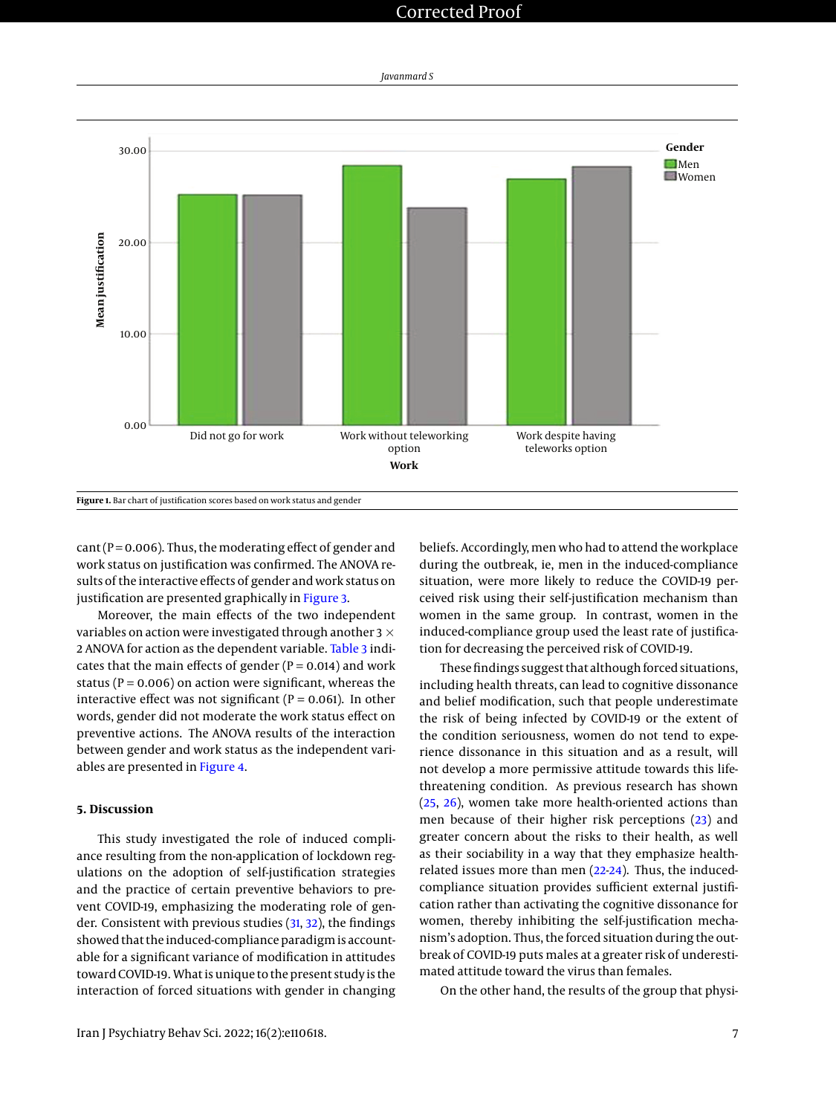

<span id="page-6-0"></span>

 $cant (P = 0.006)$ . Thus, the moderating effect of gender and work status on justification was confirmed. The ANOVA results of the interactive effects of gender and work status on justification are presented graphically in [Figure 3.](#page-7-1)

Moreover, the main effects of the two independent variables on action were investigated through another 3  $\times$ 2 ANOVA for action as the dependent variable. [Table 3](#page-9-0) indicates that the main effects of gender ( $P = 0.014$ ) and work status ( $P = 0.006$ ) on action were significant, whereas the interactive effect was not significant ( $P = 0.061$ ). In other words, gender did not moderate the work status effect on preventive actions. The ANOVA results of the interaction between gender and work status as the independent variables are presented in [Figure 4.](#page-8-0)

### **5. Discussion**

This study investigated the role of induced compliance resulting from the non-application of lockdown regulations on the adoption of self-justification strategies and the practice of certain preventive behaviors to prevent COVID-19, emphasizing the moderating role of gender. Consistent with previous studies [\(31,](#page-11-4) [32\)](#page-11-5), the findings showed that the induced-compliance paradigm is accountable for a significant variance of modification in attitudes toward COVID-19. What is unique to the present study is the interaction of forced situations with gender in changing

beliefs. Accordingly, men who had to attend the workplace during the outbreak, ie, men in the induced-compliance situation, were more likely to reduce the COVID-19 perceived risk using their self-justification mechanism than women in the same group. In contrast, women in the induced-compliance group used the least rate of justification for decreasing the perceived risk of COVID-19.

These findings suggest that although forced situations, including health threats, can lead to cognitive dissonance and belief modification, such that people underestimate the risk of being infected by COVID-19 or the extent of the condition seriousness, women do not tend to experience dissonance in this situation and as a result, will not develop a more permissive attitude towards this lifethreatening condition. As previous research has shown [\(25,](#page-10-23) [26\)](#page-10-24), women take more health-oriented actions than men because of their higher risk perceptions [\(23\)](#page-10-25) and greater concern about the risks to their health, as well as their sociability in a way that they emphasize healthrelated issues more than men [\(22-](#page-10-21)[24\)](#page-10-22). Thus, the inducedcompliance situation provides sufficient external justification rather than activating the cognitive dissonance for women, thereby inhibiting the self-justification mechanism's adoption. Thus, the forced situation during the outbreak of COVID-19 puts males at a greater risk of underestimated attitude toward the virus than females.

On the other hand, the results of the group that physi-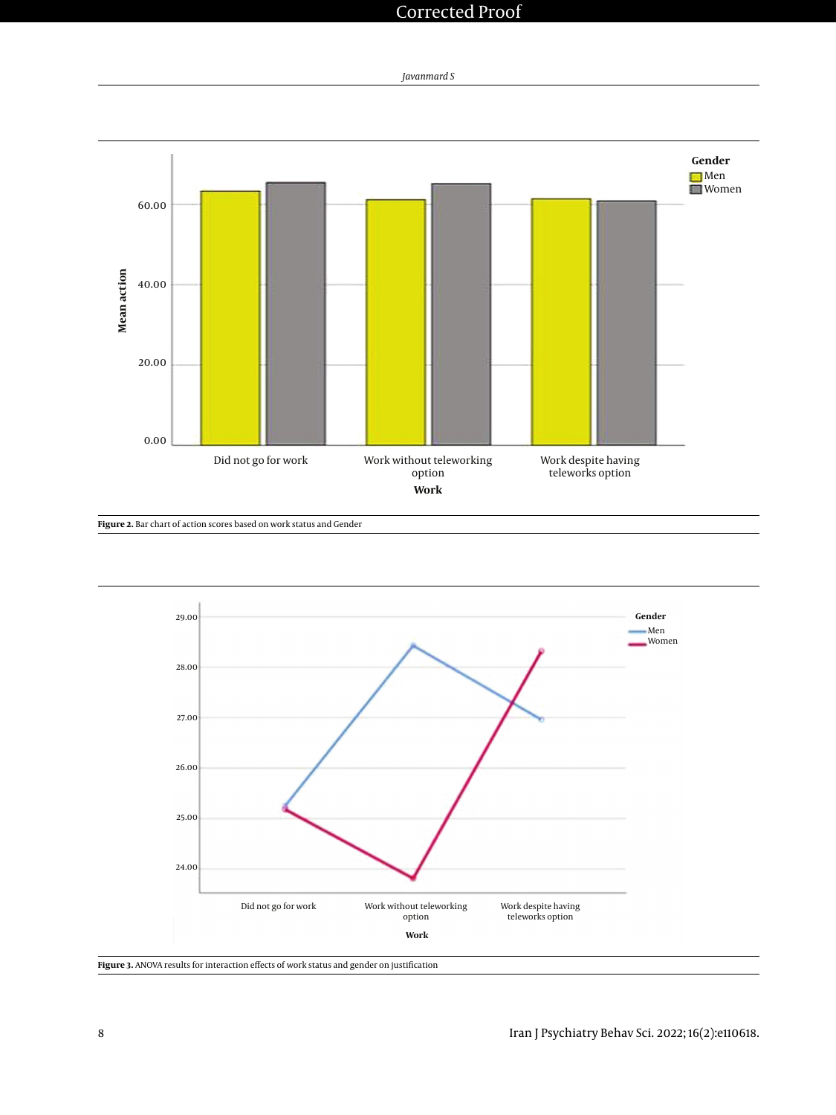

<span id="page-7-0"></span>

**Figure 2.** Bar chart of action scores based on work status and Gender

<span id="page-7-1"></span>

**Figure 3.** ANOVA results for interaction effects of work status and gender on justification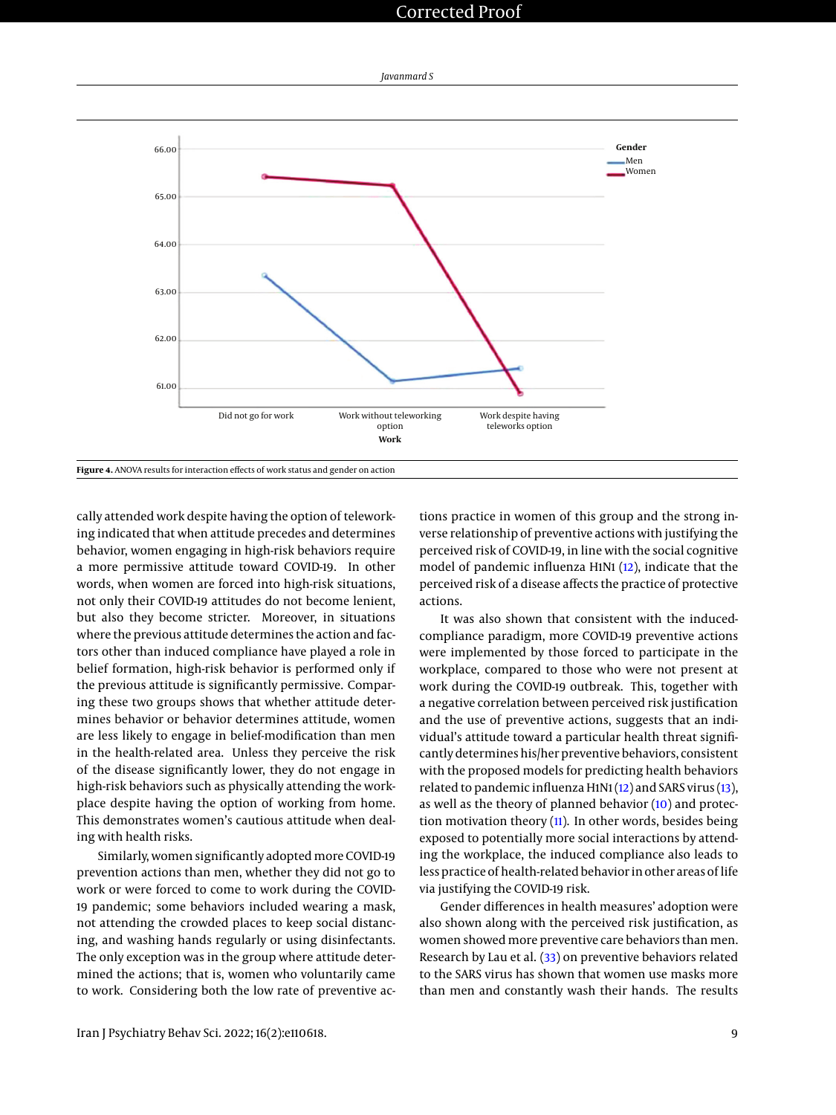<span id="page-8-0"></span>

cally attended work despite having the option of teleworking indicated that when attitude precedes and determines behavior, women engaging in high-risk behaviors require a more permissive attitude toward COVID-19. In other words, when women are forced into high-risk situations, not only their COVID-19 attitudes do not become lenient, but also they become stricter. Moreover, in situations where the previous attitude determines the action and factors other than induced compliance have played a role in belief formation, high-risk behavior is performed only if the previous attitude is significantly permissive. Comparing these two groups shows that whether attitude determines behavior or behavior determines attitude, women are less likely to engage in belief-modification than men in the health-related area. Unless they perceive the risk of the disease significantly lower, they do not engage in high-risk behaviors such as physically attending the workplace despite having the option of working from home. This demonstrates women's cautious attitude when dealing with health risks.

Similarly, women significantly adopted more COVID-19 prevention actions than men, whether they did not go to work or were forced to come to work during the COVID-19 pandemic; some behaviors included wearing a mask, not attending the crowded places to keep social distancing, and washing hands regularly or using disinfectants. The only exception was in the group where attitude determined the actions; that is, women who voluntarily came to work. Considering both the low rate of preventive ac-

tions practice in women of this group and the strong inverse relationship of preventive actions with justifying the perceived risk of COVID-19, in line with the social cognitive model of pandemic influenza H1N1 [\(12\)](#page-10-11), indicate that the perceived risk of a disease affects the practice of protective actions.

It was also shown that consistent with the inducedcompliance paradigm, more COVID-19 preventive actions were implemented by those forced to participate in the workplace, compared to those who were not present at work during the COVID-19 outbreak. This, together with a negative correlation between perceived risk justification and the use of preventive actions, suggests that an individual's attitude toward a particular health threat significantly determines his/her preventive behaviors, consistent with the proposed models for predicting health behaviors related to pandemic influenza H1N1 [\(12\)](#page-10-11) and SARS virus [\(13\)](#page-10-12), as well as the theory of planned behavior [\(10\)](#page-10-9) and protection motivation theory  $(11)$ . In other words, besides being exposed to potentially more social interactions by attending the workplace, the induced compliance also leads to less practice of health-related behavior in other areas of life via justifying the COVID-19 risk.

Gender differences in health measures' adoption were also shown along with the perceived risk justification, as women showed more preventive care behaviors than men. Research by Lau et al. [\(33\)](#page-11-6) on preventive behaviors related to the SARS virus has shown that women use masks more than men and constantly wash their hands. The results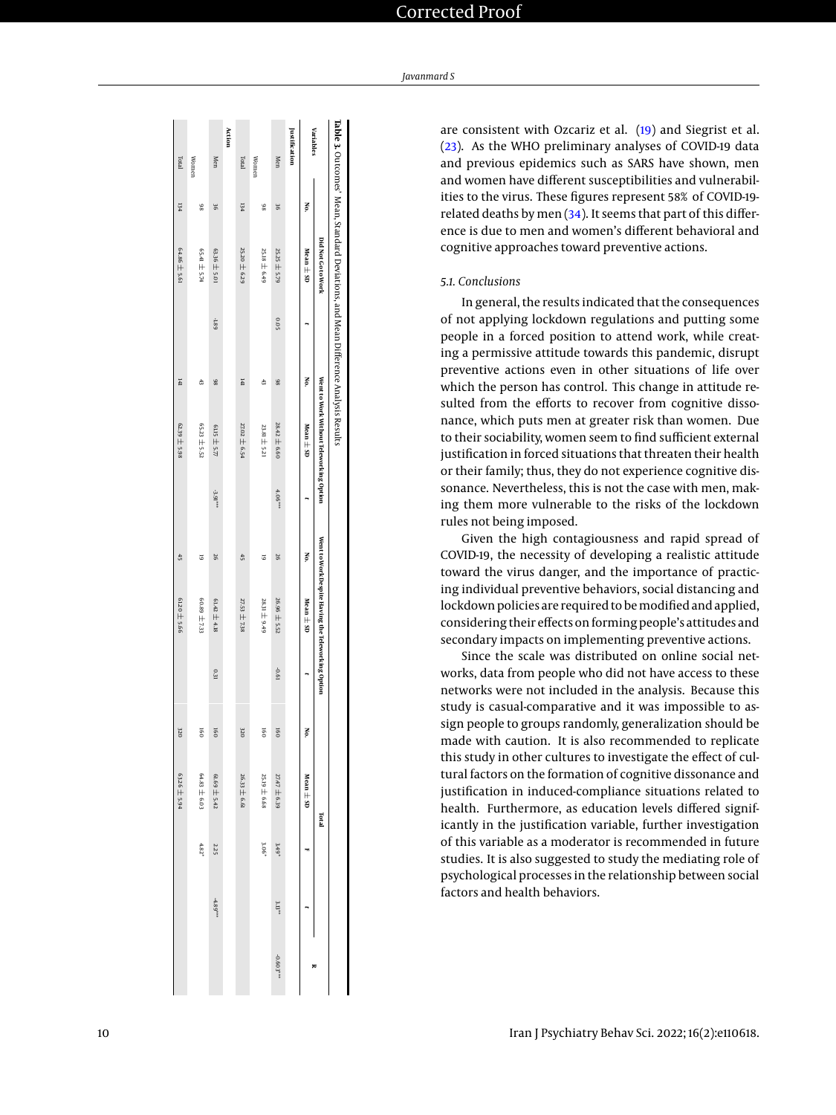<span id="page-9-0"></span>

|               |     | Ta ble 3. Outcomes' Mean, Standard Deviations, and Mean Difference Analysis Results |       |     |                                         |          |     |                                                    |      |                  |               |            |            |           |
|---------------|-----|-------------------------------------------------------------------------------------|-------|-----|-----------------------------------------|----------|-----|----------------------------------------------------|------|------------------|---------------|------------|------------|-----------|
|               |     | <b>Did Not Go to Work</b>                                                           |       |     | Went to Work Without Teleworking Option |          |     | Went to Work Despite Having the Teleworking Option |      |                  | <b>Fact</b>   |            |            |           |
| Variables     | Š.  | Mean $\pm$ 5D                                                                       |       | No. | Mean $\pm$ SD                           |          | No. | Mean ± SD                                          |      | No.              | Mean $\pm$ SD |            |            |           |
| Justification |     |                                                                                     |       |     |                                         |          |     |                                                    |      |                  |               |            |            |           |
| Men           | 96  | 25.25 ± 5.79                                                                        | 502   | 86  | 28.42 ± 6.60                            | $4.06**$ | 97  | 26.96 ± 5.52                                       | 19.0 | $\overline{160}$ | 27.47 ± 6.39  | $3.49*$    | $3.13**$   | -0.603*** |
| Women         | 86  | 25.18 ± 6.49                                                                        |       | 43  | 23.81 ± 5.21                            |          | 5   | 28.31 ± 9.49                                       |      | 5                | 25.19 ± 6.68  | 3.06*      |            |           |
| Total         | 134 | 25.20 ± 6.29                                                                        |       | 141 | 27.02 ± 6.54                            |          | 45  | $27.53 \pm 7.38$                                   |      | 320              | 26.33 ± 6.61  |            |            |           |
| Action        |     |                                                                                     |       |     |                                         |          |     |                                                    |      |                  |               |            |            |           |
| Men           | 98  | $63.36 \pm 5.01$                                                                    | -1.89 | 86  | 61.15 $\pm$ 5.77                        | -3.91*** | 97  | 61.42 $\pm$ 4.18                                   | 0.31 | $\overline{50}$  | 61.69 ± 5.42  | 2.25       | $-4.89***$ |           |
| Women         | 86  | PZS TH 1P59                                                                         |       | 43  | 65.23 ± 5.52                            |          | 5   | 60.89 ± 733                                        |      | $\overline{5}$   | 64.83 ± 6.03  | $4.82^{*}$ |            |           |
| Iotal         | 134 | $64.86 \pm 5.61$                                                                    |       | 141 | $62.39 \pm 5.98$                        |          | 45  | 6120 ± 5.66                                        |      | 320              | 63.26 ± 5.94  |            |            |           |
|               |     |                                                                                     |       |     |                                         |          |     |                                                    |      |                  |               |            |            |           |

are consistent with Ozcariz et al. [\(19\)](#page-10-18) and Siegrist et al. [\(23\)](#page-10-25). As the WHO preliminary analyses of COVID-19 data and previous epidemics such as SARS have shown, men and women have different susceptibilities and vulnerabilities to the virus. These figures represent 58% of COVID-19 related deaths by men [\(34\)](#page-11-7). It seems that part of this difference is due to men and women's different behavioral and cognitive approaches toward preventive actions.

#### *5.1. Conclusions*

In general, the results indicated that the consequences of not applying lockdown regulations and putting some people in a forced position to attend work, while creating a permissive attitude towards this pandemic, disrupt preventive actions even in other situations of life over which the person has control. This change in attitude resulted from the efforts to recover from cognitive dissonance, which puts men at greater risk than women. Due to their sociability, women seem to find sufficient external justification in forced situations that threaten their health or their family; thus, they do not experience cognitive dissonance. Nevertheless, this is not the case with men, making them more vulnerable to the risks of the lockdown rules not being imposed.

Given the high contagiousness and rapid spread of COVID-19, the necessity of developing a realistic attitude toward the virus danger, and the importance of practicing individual preventive behaviors, social distancing and lockdown policies are required to be modified and applied, considering their effects on forming people's attitudes and secondary impacts on implementing preventive actions.

Since the scale was distributed on online social networks, data from people who did not have access to these networks were not included in the analysis. Because this study is casual-comparative and it was impossible to assign people to groups randomly, generalization should be made with caution. It is also recommended to replicate this study in other cultures to investigate the effect of cultural factors on the formation of cognitive dissonance and justification in induced-compliance situations related to health. Furthermore, as education levels differed significantly in the justification variable, further investigation of this variable as a moderator is recommended in future studies. It is also suggested to study the mediating role of psychological processes in the relationship between social factors and health behaviors.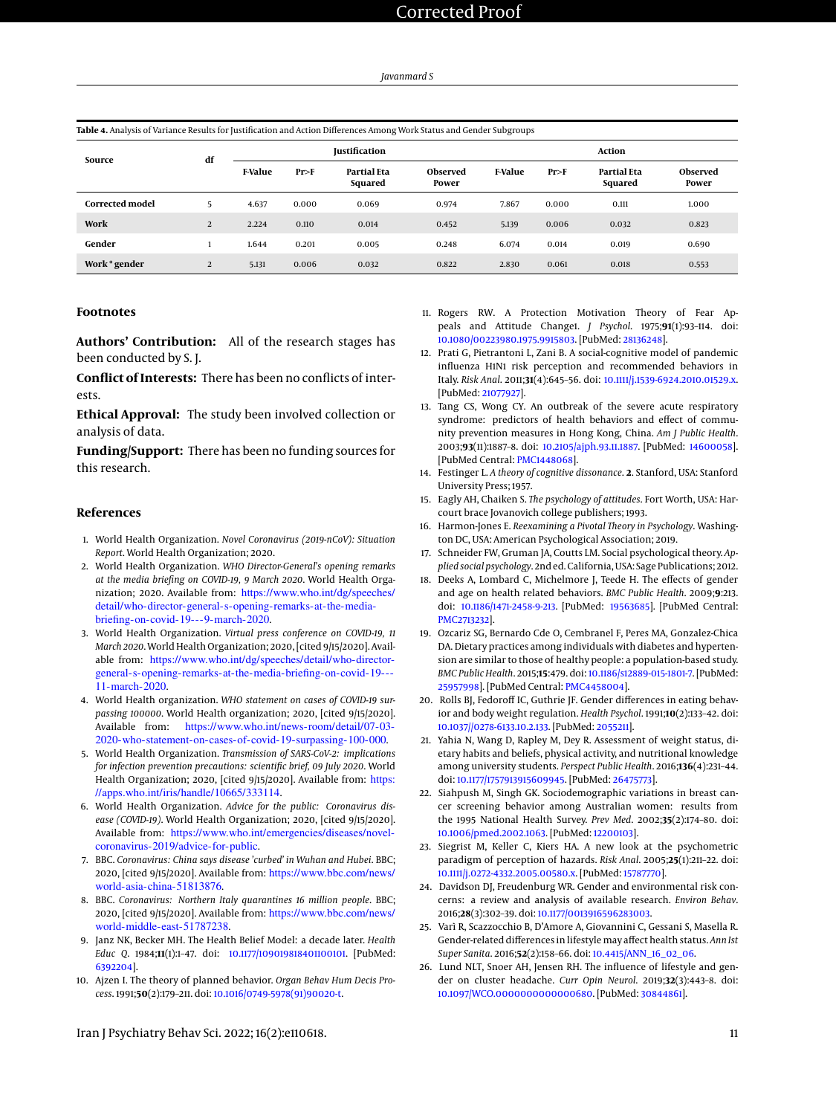<span id="page-10-26"></span>**Table 4.** Analysis of Variance Results for Justification and Action Differences Among Work Status and Gender Subgroups

| Source                 | df |                |       | <b>Justification</b>          |                   |                | <b>Action</b> |                               |                          |  |
|------------------------|----|----------------|-------|-------------------------------|-------------------|----------------|---------------|-------------------------------|--------------------------|--|
|                        |    | <b>F-Value</b> | Pr>F  | <b>Partial Eta</b><br>Squared | Observed<br>Power | <b>F-Value</b> | Pr>F          | <b>Partial Eta</b><br>Squared | <b>Observed</b><br>Power |  |
| <b>Corrected model</b> | 5  | 4.637          | 0.000 | 0.069                         | 0.974             | 7.867          | 0.000         | 0.111                         | 1.000                    |  |
| Work                   | 2  | 2.224          | 0.110 | 0.014                         | 0.452             | 5.139          | 0.006         | 0.032                         | 0.823                    |  |
| Gender                 |    | 1.644          | 0.201 | 0.005                         | 0.248             | 6.074          | 0.014         | 0.019                         | 0.690                    |  |
| Work * gender          | 2  | 5.131          | 0.006 | 0.032                         | 0.822             | 2.830          | 0.061         | 0.018                         | 0.553                    |  |

#### **Footnotes**

**Authors' Contribution:** All of the research stages has been conducted by S. J.

**Conflict of Interests:** There has been no conflicts of interests.

**Ethical Approval:** The study been involved collection or analysis of data.

**Funding/Support:** There has been no funding sources for this research.

#### **References**

- <span id="page-10-0"></span>1. World Health Organization. *Novel Coronavirus (2019-nCoV): Situation Report*. World Health Organization; 2020.
- <span id="page-10-1"></span>2. World Health Organization. *WHO Director-General's opening remarks at the media briefing on COVID-19, 9 March 2020*. World Health Organization; 2020. Available from: [https://www.who.int/dg/speeches/](https://www.who.int/dg/speeches/detail/who-director-general-s-opening-remarks-at-the-media-briefing-on-covid-19---9-march-2020) [detail/who-director-general-s-opening-remarks-at-the-media](https://www.who.int/dg/speeches/detail/who-director-general-s-opening-remarks-at-the-media-briefing-on-covid-19---9-march-2020)[briefing-on-covid-19---9-march-2020](https://www.who.int/dg/speeches/detail/who-director-general-s-opening-remarks-at-the-media-briefing-on-covid-19---9-march-2020).
- <span id="page-10-2"></span>3. World Health Organization. *Virtual press conference on COVID-19, 11 March 2020*. World Health Organization; 2020, [cited 9/15/2020]. Available from: [https://www.who.int/dg/speeches/detail/who-director](https://www.who.int/dg/speeches/detail/who-director-general-s-opening-remarks-at-the-media-briefing-on-covid-19---11-march-2020)[general-s-opening-remarks-at-the-media-briefing-on-covid-19---](https://www.who.int/dg/speeches/detail/who-director-general-s-opening-remarks-at-the-media-briefing-on-covid-19---11-march-2020) [11-march-2020](https://www.who.int/dg/speeches/detail/who-director-general-s-opening-remarks-at-the-media-briefing-on-covid-19---11-march-2020).
- <span id="page-10-3"></span>4. World Health organization. *WHO statement on cases of COVID-19 surpassing 100000*. World Health organization; 2020, [cited 9/15/2020]. Available from: [https://www.who.int/news-room/detail/07-03-](https://www.who.int/news-room/detail/07-03-2020-who-statement-on-cases-of-covid-19-surpassing-100-000) [2020-who-statement-on-cases-of-covid-19-surpassing-100-000](https://www.who.int/news-room/detail/07-03-2020-who-statement-on-cases-of-covid-19-surpassing-100-000).
- <span id="page-10-4"></span>5. World Health Organization. *Transmission of SARS-CoV-2: implications for infection prevention precautions: scientific brief, 09 July 2020*. World Health Organization; 2020, [cited 9/15/2020]. Available from: [https:](https://apps.who.int/iris/handle/10665/333114) [//apps.who.int/iris/handle/10665/333114](https://apps.who.int/iris/handle/10665/333114).
- <span id="page-10-5"></span>6. World Health Organization. *Advice for the public: Coronavirus disease (COVID-19)*. World Health Organization; 2020, [cited 9/15/2020]. Available from: [https://www.who.int/emergencies/diseases/novel](https://www.who.int/emergencies/diseases/novel-coronavirus-2019/advice-for-public)[coronavirus-2019/advice-for-public](https://www.who.int/emergencies/diseases/novel-coronavirus-2019/advice-for-public).
- <span id="page-10-6"></span>7. BBC. *Coronavirus: China says disease 'curbed' in Wuhan and Hubei*. BBC; 2020, [cited 9/15/2020]. Available from: [https://www.bbc.com/news/](https://www.bbc.com/news/world-asia-china-51813876) [world-asia-china-51813876](https://www.bbc.com/news/world-asia-china-51813876).
- <span id="page-10-7"></span>8. BBC. *Coronavirus: Northern Italy quarantines 16 million people*. BBC; 2020, [cited 9/15/2020]. Available from: [https://www.bbc.com/news/](https://www.bbc.com/news/world-middle-east-51787238) [world-middle-east-51787238](https://www.bbc.com/news/world-middle-east-51787238).
- <span id="page-10-8"></span>9. Janz NK, Becker MH. The Health Belief Model: a decade later. *Health Educ Q*. 1984;**11**(1):1–47. doi: [10.1177/109019818401100101.](http://dx.doi.org/10.1177/109019818401100101) [PubMed: [6392204\]](http://www.ncbi.nlm.nih.gov/pubmed/6392204).
- <span id="page-10-9"></span>10. Ajzen I. The theory of planned behavior. *Organ Behav Hum Decis Process*. 1991;**50**(2):179–211. doi: [10.1016/0749-5978\(91\)90020-t.](http://dx.doi.org/10.1016/0749-5978(91)90020-t)
- <span id="page-10-10"></span>11. Rogers RW. A Protection Motivation Theory of Fear Appeals and Attitude Change1. *J Psychol*. 1975;**91**(1):93–114. doi: [10.1080/00223980.1975.9915803.](http://dx.doi.org/10.1080/00223980.1975.9915803) [PubMed: [28136248\]](http://www.ncbi.nlm.nih.gov/pubmed/28136248).
- <span id="page-10-11"></span>12. Prati G, Pietrantoni L, Zani B. A social-cognitive model of pandemic influenza H1N1 risk perception and recommended behaviors in Italy. *Risk Anal*. 2011;**31**(4):645–56. doi: [10.1111/j.1539-6924.2010.01529.x.](http://dx.doi.org/10.1111/j.1539-6924.2010.01529.x) [PubMed: [21077927\]](http://www.ncbi.nlm.nih.gov/pubmed/21077927).
- <span id="page-10-12"></span>13. Tang CS, Wong CY. An outbreak of the severe acute respiratory syndrome: predictors of health behaviors and effect of community prevention measures in Hong Kong, China. *Am J Public Health*. 2003;**93**(11):1887–8. doi: [10.2105/ajph.93.11.1887.](http://dx.doi.org/10.2105/ajph.93.11.1887) [PubMed: [14600058\]](http://www.ncbi.nlm.nih.gov/pubmed/14600058). [PubMed Central: [PMC1448068\]](https://www.ncbi.nlm.nih.gov/pmc/articles/PMC1448068).
- <span id="page-10-13"></span>14. Festinger L. *A theory of cognitive dissonance*. **2**. Stanford, USA: Stanford University Press; 1957.
- <span id="page-10-14"></span>15. Eagly AH, Chaiken S. *The psychology of attitudes*. Fort Worth, USA: Harcourt brace Jovanovich college publishers; 1993.
- <span id="page-10-15"></span>16. Harmon-Jones E. *Reexamining a Pivotal Theory in Psychology*. Washington DC, USA: American Psychological Association; 2019.
- <span id="page-10-16"></span>17. Schneider FW, Gruman JA, Coutts LM. Social psychological theory. *Applied social psychology*. 2nd ed. California, USA: Sage Publications; 2012.
- <span id="page-10-17"></span>18. Deeks A, Lombard C, Michelmore J, Teede H. The effects of gender and age on health related behaviors. *BMC Public Health*. 2009;**9**:213. doi: [10.1186/1471-2458-9-213.](http://dx.doi.org/10.1186/1471-2458-9-213) [PubMed: [19563685\]](http://www.ncbi.nlm.nih.gov/pubmed/19563685). [PubMed Central: [PMC2713232\]](https://www.ncbi.nlm.nih.gov/pmc/articles/PMC2713232).
- <span id="page-10-18"></span>19. Ozcariz SG, Bernardo Cde O, Cembranel F, Peres MA, Gonzalez-Chica DA. Dietary practices among individuals with diabetes and hypertension are similar to those of healthy people: a population-based study. *BMC Public Health*. 2015;**15**:479. doi: [10.1186/s12889-015-1801-7.](http://dx.doi.org/10.1186/s12889-015-1801-7) [PubMed: [25957998\]](http://www.ncbi.nlm.nih.gov/pubmed/25957998). [PubMed Central: [PMC4458004\]](https://www.ncbi.nlm.nih.gov/pmc/articles/PMC4458004).
- <span id="page-10-19"></span>20. Rolls BJ, Fedoroff IC, Guthrie JF. Gender differences in eating behavior and body weight regulation. *Health Psychol*. 1991;**10**(2):133–42. doi: [10.1037//0278-6133.10.2.133.](http://dx.doi.org/10.1037//0278-6133.10.2.133) [PubMed: [2055211\]](http://www.ncbi.nlm.nih.gov/pubmed/2055211).
- <span id="page-10-20"></span>21. Yahia N, Wang D, Rapley M, Dey R. Assessment of weight status, dietary habits and beliefs, physical activity, and nutritional knowledge among university students. *Perspect Public Health*. 2016;**136**(4):231–44. doi: [10.1177/1757913915609945.](http://dx.doi.org/10.1177/1757913915609945) [PubMed: [26475773\]](http://www.ncbi.nlm.nih.gov/pubmed/26475773).
- <span id="page-10-21"></span>22. Siahpush M, Singh GK. Sociodemographic variations in breast cancer screening behavior among Australian women: results from the 1995 National Health Survey. *Prev Med*. 2002;**35**(2):174–80. doi: [10.1006/pmed.2002.1063.](http://dx.doi.org/10.1006/pmed.2002.1063) [PubMed: [12200103\]](http://www.ncbi.nlm.nih.gov/pubmed/12200103).
- <span id="page-10-25"></span>23. Siegrist M, Keller C, Kiers HA. A new look at the psychometric paradigm of perception of hazards. *Risk Anal*. 2005;**25**(1):211–22. doi: [10.1111/j.0272-4332.2005.00580.x.](http://dx.doi.org/10.1111/j.0272-4332.2005.00580.x) [PubMed: [15787770\]](http://www.ncbi.nlm.nih.gov/pubmed/15787770).
- <span id="page-10-22"></span>24. Davidson DJ, Freudenburg WR. Gender and environmental risk concerns: a review and analysis of available research. *Environ Behav*. 2016;**28**(3):302–39. doi: [10.1177/0013916596283003.](http://dx.doi.org/10.1177/0013916596283003)
- <span id="page-10-23"></span>25. Varì R, Scazzocchio B, D'Amore A, Giovannini C, Gessani S, Masella R. Gender-related differences in lifestyle may affect health status. *Ann Ist Super Sanita*. 2016;**52**(2):158–66. doi: [10.4415/ANN\\_16\\_02\\_06.](http://dx.doi.org/10.4415/ANN_16_02_06)
- <span id="page-10-24"></span>26. Lund NLT, Snoer AH, Jensen RH. The influence of lifestyle and gender on cluster headache. *Curr Opin Neurol*. 2019;**32**(3):443–8. doi: [10.1097/WCO.0000000000000680.](http://dx.doi.org/10.1097/WCO.0000000000000680) [PubMed: [30844861\]](http://www.ncbi.nlm.nih.gov/pubmed/30844861).

Iran J Psychiatry Behav Sci. 2022; 16(2):e110618. 11